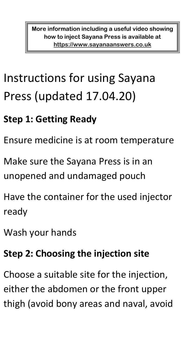**More information including a useful video showing how to inject Sayana Press is available at [https://www.sayanaanswers.co.uk](https://www.sayanaanswers.co.uk/)**

# Instructions for using Sayana Press (updated 17.04.20)

## **Step 1: Getting Ready**

Ensure medicine is at room temperature

Make sure the Sayana Press is in an unopened and undamaged pouch

Have the container for the used injector ready

Wash your hands

#### **Step 2: Choosing the injection site**

Choose a suitable site for the injection, either the abdomen or the front upper thigh (avoid bony areas and naval, avoid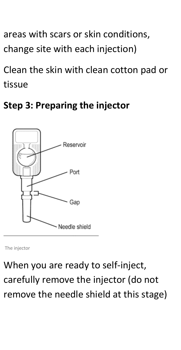areas with scars or skin conditions, change site with each injection)

Clean the skin with clean cotton pad or tissue

#### **Step 3: Preparing the injector**



The injector

When you are ready to self-inject, carefully remove the injector (do not remove the needle shield at this stage)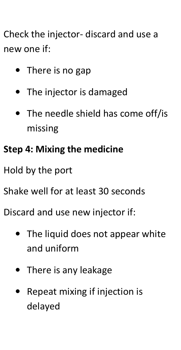Check the injector- discard and use a new one if:

- There is no gap
- The injector is damaged
- The needle shield has come off/is missing

## **Step 4: Mixing the medicine**

Hold by the port

Shake well for at least 30 seconds

Discard and use new injector if:

- The liquid does not appear white and uniform
- There is any leakage
- Repeat mixing if injection is delayed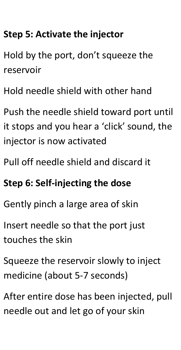### **Step 5: Activate the injector**

Hold by the port, don't squeeze the reservoir

Hold needle shield with other hand

Push the needle shield toward port until it stops and you hear a 'click' sound, the injector is now activated

Pull off needle shield and discard it

### **Step 6: Self-injecting the dose**

Gently pinch a large area of skin

Insert needle so that the port just touches the skin

Squeeze the reservoir slowly to inject medicine (about 5-7 seconds)

After entire dose has been injected, pull needle out and let go of your skin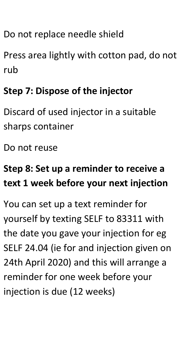Do not replace needle shield

Press area lightly with cotton pad, do not rub

## **Step 7: Dispose of the injector**

Discard of used injector in a suitable sharps container

Do not reuse

## **Step 8: Set up a reminder to receive a text 1 week before your next injection**

You can set up a text reminder for yourself by texting SELF to 83311 with the date you gave your injection for eg SELF 24.04 (ie for and injection given on 24th April 2020) and this will arrange a reminder for one week before your injection is due (12 weeks)